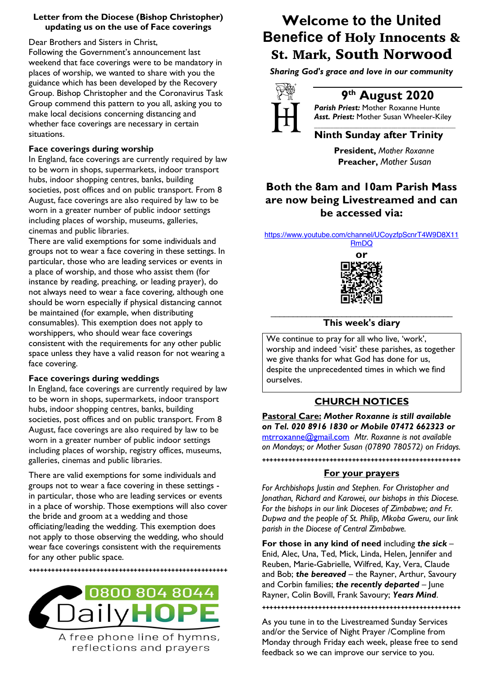### **Letter from the Diocese (Bishop Christopher) updating us on the use of Face coverings**

Dear Brothers and Sisters in Christ,

Following the Government's announcement last weekend that face coverings were to be mandatory in places of worship, we wanted to share with you the guidance which has been developed by the Recovery Group. Bishop Christopher and the Coronavirus Task Group commend this pattern to you all, asking you to make local decisions concerning distancing and whether face coverings are necessary in certain situations.

# **Face coverings during worship**

In England, face coverings are currently required by law to be worn in shops, supermarkets, indoor transport hubs, indoor shopping centres, banks, building societies, post offices and on public transport. From 8 August, face coverings are also required by law to be worn in a greater number of public indoor settings including places of worship, museums, galleries, cinemas and public libraries.

There are valid exemptions for some individuals and groups not to wear a face covering in these settings. In particular, those who are leading services or events in a place of worship, and those who assist them (for instance by reading, preaching, or leading prayer), do not always need to wear a face covering, although one should be worn especially if physical distancing cannot be maintained (for example, when distributing consumables). This exemption does not apply to worshippers, who should wear face coverings consistent with the requirements for any other public space unless they have a valid reason for not wearing a face covering.

# **Face coverings during weddings**

In England, face coverings are currently required by law to be worn in shops, supermarkets, indoor transport hubs, indoor shopping centres, banks, building societies, post offices and on public transport. From 8 August, face coverings are also required by law to be worn in a greater number of public indoor settings including places of worship, registry offices, museums, galleries, cinemas and public libraries.

There are valid exemptions for some individuals and groups not to wear a face covering in these settings in particular, those who are leading services or events in a place of worship. Those exemptions will also cover the bride and groom at a wedding and those officiating/leading the wedding. This exemption does not apply to those observing the wedding, who should wear face coverings consistent with the requirements for any other public space.



**+++++++++++++++++++++++++++++++++++++++++++++++++++++**

A free phone line of hymns, reflections and prayers

# **Welcome to the United Benefice of** Holy Innocents & St. Mark, South Norwood

*Sharing God's grace and love in our community*



# **9th August 2020**

*Parish Priest:* Mother Roxanne Hunte *Asst. Priest:* Mother Susan Wheeler-Kiley

### *\_\_\_\_\_\_\_\_\_\_\_\_\_\_\_\_\_\_\_\_\_\_\_\_\_\_\_\_\_\_\_\_\_\_\_\_\_\_\_\_\_\_\_\_* **Ninth Sunday after Trinity**

**President,** *Mother Roxanne*  **Preacher,** *Mother Susan*

# **Both the 8am and 10am Parish Mass are now being Livestreamed and can be accessed via:**

https://www.youtube.com/channel/UCoyzfpScnrT4W9D8X11



### \_\_\_\_\_\_\_\_\_\_\_\_\_\_\_\_\_\_\_\_\_\_\_\_\_\_\_\_\_\_\_\_\_\_\_\_\_\_\_\_\_ **This week's diary**

We continue to pray for all who live, 'work', worship and indeed 'visit' these parishes, as together we give thanks for what God has done for us, despite the unprecedented times in which we find ourselves.

# **CHURCH NOTICES**

**Pastoral Care:** *Mother Roxanne is still available on Tel. 020 8916 1830 or Mobile 07472 662323 or*

mtrroxanne@gmail.com *Mtr. Roxanne is not available on Mondays; or Mother Susan (07890 780572) on Fridays.*

# **+++++++++++++++++++++++++++++++++++++++++++++++++++++ For your prayers**

*For Archbishops Justin and Stephen. For Christopher and Jonathan, Richard and Karowei, our bishops in this Diocese. For the bishops in our link Dioceses of Zimbabwe; and Fr. Dupwa and the people of St. Philip, Mkoba Gweru, our link parish in the Diocese of Central Zimbabwe.* 

**For those in any kind of need** including *the sick* – Enid, Alec, Una, Ted, Mick, Linda, Helen, Jennifer and Reuben, Marie-Gabrielle, Wilfred, Kay, Vera, Claude and Bob; *the bereaved* – the Rayner, Arthur, Savoury and Corbin families; *the recently departed* – June Rayner, Colin Bovill, Frank Savoury; *Years Mind*.

As you tune in to the Livestreamed Sunday Services and/or the Service of Night Prayer /Compline from Monday through Friday each week, please free to send feedback so we can improve our service to you.

**+++++++++++++++++++++++++++++++++++++++++++++++++++++**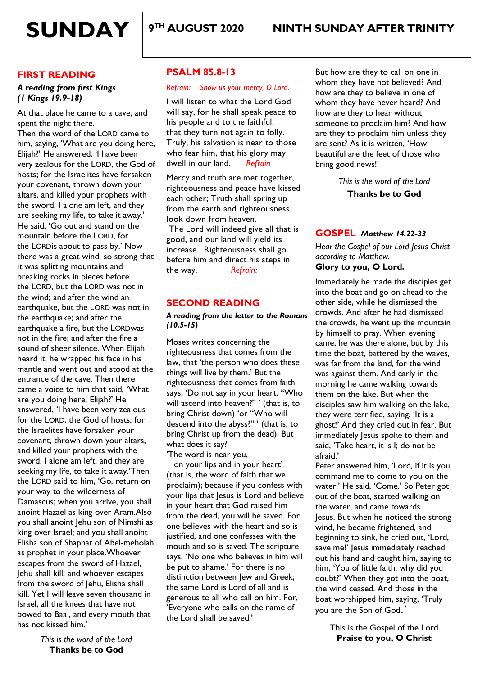## **FIRST READING**

## *A reading from first Kings (1 Kings 19.9-18)*

At that place he came to a cave, and spent the night there.

Then the word of the LORD came to him, saying, 'What are you doing here, Elijah?' He answered, 'I have been very zealous for the LORD, the God of hosts; for the Israelites have forsaken your covenant, thrown down your altars, and killed your prophets with the sword. I alone am left, and they are seeking my life, to take it away.' He said, 'Go out and stand on the mountain before the LORD, for the LORDis about to pass by.' Now there was a great wind, so strong that it was splitting mountains and breaking rocks in pieces before the LORD, but the LORD was not in the wind; and after the wind an earthquake, but the LORD was not in the earthquake; and after the earthquake a fire, but the LORDwas not in the fire; and after the fire a sound of sheer silence. When Elijah heard it, he wrapped his face in his mantle and went out and stood at the entrance of the cave. Then there came a voice to him that said, 'What are you doing here, Elijah?' He answered, 'I have been very zealous for the LORD, the God of hosts; for the Israelites have forsaken your covenant, thrown down your altars, and killed your prophets with the sword. I alone am left, and they are seeking my life, to take it away.'Then the LORD said to him, 'Go, return on your way to the wilderness of Damascus; when you arrive, you shall anoint Hazael as king over Aram.Also you shall anoint Jehu son of Nimshi as king over Israel; and you shall anoint Elisha son of Shaphat of Abel-meholah as prophet in your place.Whoever escapes from the sword of Hazael, Jehu shall kill; and whoever escapes from the sword of Jehu, Elisha shall kill. Yet I will leave seven thousand in Israel, all the knees that have not bowed to Baal, and every mouth that has not kissed him.'

**PSALM 85.8-13**

### *Refrain: Show us your mercy, O Lord.*

I will listen to what the Lord God will say, for he shall speak peace to his people and to the faithful, that they turn not again to folly. Truly, his salvation is near to those who fear him, that his glory may dwell in our land. *Refrain*

Mercy and truth are met together, righteousness and peace have kissed each other; Truth shall spring up from the earth and righteousness look down from heaven. The Lord will indeed give all that is good, and our land will yield its increase. Righteousness shall go before him and direct his steps in the way. *Refrain:*

## **SECOND READING**

### *A reading from the letter to the Romans (10.5-15)*

Moses writes concerning the righteousness that comes from the law, that 'the person who does these things will live by them.' But the righteousness that comes from faith says, 'Do not say in your heart, "Who will ascend into heaven?" ' (that is, to bring Christ down) 'or "Who will descend into the abyss?" ' (that is, to bring Christ up from the dead). But what does it say?

'The word is near you, on your lips and in your heart'

(that is, the word of faith that we proclaim); because if you confess with your lips that Jesus is Lord and believe in your heart that God raised him from the dead, you will be saved. For one believes with the heart and so is justified, and one confesses with the mouth and so is saved. The scripture says, 'No one who believes in him will be put to shame.' For there is no distinction between Jew and Greek; the same Lord is Lord of all and is generous to all who call on him. For, 'Everyone who calls on the name of the Lord shall be saved.'

But how are they to call on one in whom they have not believed? And how are they to believe in one of whom they have never heard? And how are they to hear without someone to proclaim him? And how are they to proclaim him unless they are sent? As it is written, 'How beautiful are the feet of those who bring good news!'

*This is the word of the Lord*

**Thanks be to God**

### **GOSPEL** *Matthew 14.22-33*

*Hear the Gospel of our Lord Jesus Christ according to Matthew.* **Glory to you, O Lord.**

Immediately he made the disciples get into the boat and go on ahead to the other side, while he dismissed the crowds. And after he had dismissed the crowds, he went up the mountain by himself to pray. When evening came, he was there alone, but by this time the boat, battered by the waves, was far from the land, for the wind was against them. And early in the morning he came walking towards them on the lake. But when the disciples saw him walking on the lake, they were terrified, saying, 'It is a ghost!' And they cried out in fear. But immediately Jesus spoke to them and said, 'Take heart, it is I; do not be afraid.'

Peter answered him, 'Lord, if it is you, command me to come to you on the water.' He said, 'Come.' So Peter got out of the boat, started walking on the water, and came towards Jesus. But when he noticed the strong wind, he became frightened, and beginning to sink, he cried out, 'Lord, save me!' Jesus immediately reached out his hand and caught him, saying to him, 'You of little faith, why did you doubt?' When they got into the boat, the wind ceased. And those in the boat worshipped him, saying, 'Truly you are the Son of God.'

> This is the Gospel of the Lord **Praise to you, O Christ**

*This is the word of the Lord* **Thanks be to God**